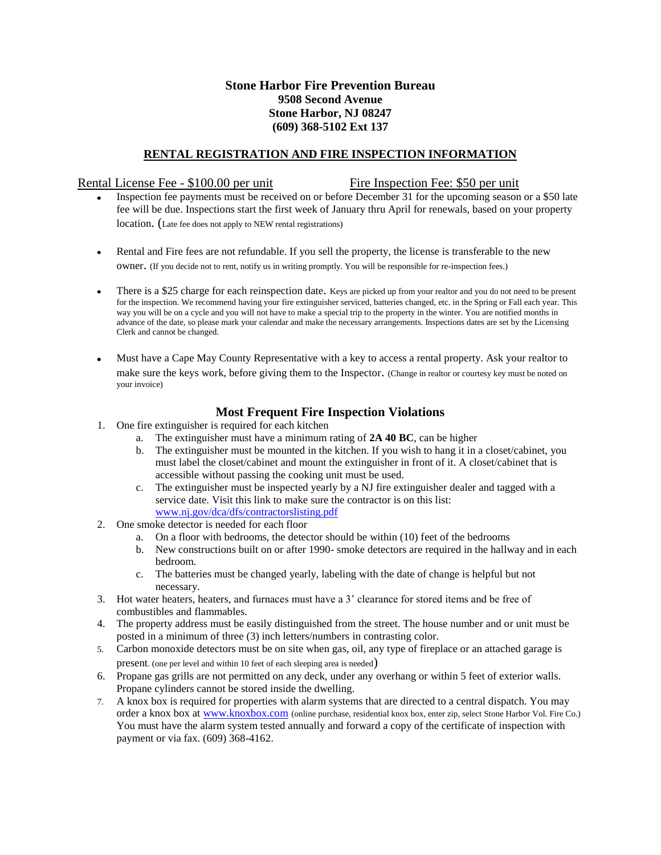### **Stone Harbor Fire Prevention Bureau 9508 Second Avenue Stone Harbor, NJ 08247 (609) 368-5102 Ext 137**

### **RENTAL REGISTRATION AND FIRE INSPECTION INFORMATION**

### Rental License Fee - \$100.00 per unit Fire Inspection Fee: \$50 per unit

- Inspection fee payments must be received on or before December 31 for the upcoming season or a \$50 late fee will be due. Inspections start the first week of January thru April for renewals, based on your property location. (Late fee does not apply to NEW rental registrations)
- Rental and Fire fees are not refundable. If you sell the property, the license is transferable to the new  $\bullet$ owner. (If you decide not to rent, notify us in writing promptly. You will be responsible for re-inspection fees.)
- There is a \$25 charge for each reinspection date. Keys are picked up from your realtor and you do not need to be present  $\bullet$ for the inspection. We recommend having your fire extinguisher serviced, batteries changed, etc. in the Spring or Fall each year. This way you will be on a cycle and you will not have to make a special trip to the property in the winter. You are notified months in advance of the date, so please mark your calendar and make the necessary arrangements. Inspections dates are set by the Licensing Clerk and cannot be changed.
- Must have a Cape May County Representative with a key to access a rental property. Ask your realtor to make sure the keys work, before giving them to the Inspector. (Change in realtor or courtesy key must be noted on your invoice)

### **Most Frequent Fire Inspection Violations**

- 1. One fire extinguisher is required for each kitchen
	- a. The extinguisher must have a minimum rating of **2A 40 BC**, can be higher
		- b. The extinguisher must be mounted in the kitchen. If you wish to hang it in a closet/cabinet, you must label the closet/cabinet and mount the extinguisher in front of it. A closet/cabinet that is accessible without passing the cooking unit must be used.
		- c. The extinguisher must be inspected yearly by a NJ fire extinguisher dealer and tagged with a service date. Visit this link to make sure the contractor is on this list: [www.nj.gov/dca/dfs/contractorslisting.pdf](http://www.nj.gov/dca/dfs/contractorslisting.pdf)
- 2. One smoke detector is needed for each floor
	- a. On a floor with bedrooms, the detector should be within (10) feet of the bedrooms
	- b. New constructions built on or after 1990- smoke detectors are required in the hallway and in each bedroom.
	- c. The batteries must be changed yearly, labeling with the date of change is helpful but not necessary.
- 3. Hot water heaters, heaters, and furnaces must have a 3' clearance for stored items and be free of combustibles and flammables.
- 4. The property address must be easily distinguished from the street. The house number and or unit must be posted in a minimum of three (3) inch letters/numbers in contrasting color.
- 5. Carbon monoxide detectors must be on site when gas, oil, any type of fireplace or an attached garage is present. (one per level and within 10 feet of each sleeping area is needed)
- 6. Propane gas grills are not permitted on any deck, under any overhang or within 5 feet of exterior walls. Propane cylinders cannot be stored inside the dwelling.
- 7. A knox box is required for properties with alarm systems that are directed to a central dispatch. You may order a knox box at [www.knoxbox.com](http://www.knoxbox.com/) (online purchase, residential knox box, enter zip, select Stone Harbor Vol. Fire Co.) You must have the alarm system tested annually and forward a copy of the certificate of inspection with payment or via fax. (609) 368-4162.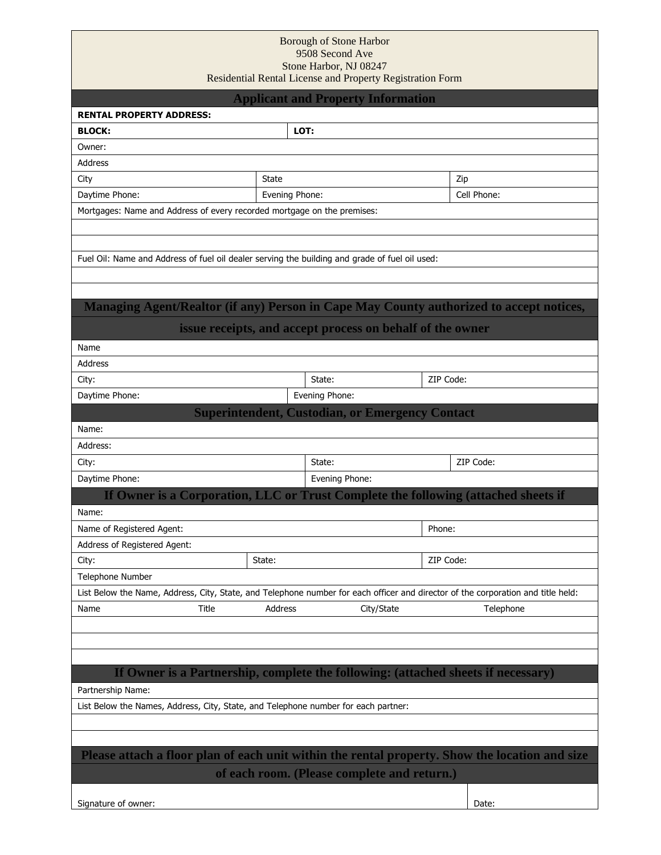### Borough of Stone Harbor 9508 Second Ave Stone Harbor, NJ 08247 Residential Rental License and Property Registration Form

|                                                                                                                                  |                | <b>Applicant and Property Information</b>                 |           |             |  |
|----------------------------------------------------------------------------------------------------------------------------------|----------------|-----------------------------------------------------------|-----------|-------------|--|
| <b>RENTAL PROPERTY ADDRESS:</b>                                                                                                  |                |                                                           |           |             |  |
| <b>BLOCK:</b>                                                                                                                    |                | LOT:                                                      |           |             |  |
| Owner:                                                                                                                           |                |                                                           |           |             |  |
| Address                                                                                                                          |                |                                                           |           |             |  |
| City                                                                                                                             | State          |                                                           |           | Zip         |  |
| Daytime Phone:                                                                                                                   | Evening Phone: |                                                           |           | Cell Phone: |  |
| Mortgages: Name and Address of every recorded mortgage on the premises:                                                          |                |                                                           |           |             |  |
|                                                                                                                                  |                |                                                           |           |             |  |
|                                                                                                                                  |                |                                                           |           |             |  |
| Fuel Oil: Name and Address of fuel oil dealer serving the building and grade of fuel oil used:                                   |                |                                                           |           |             |  |
|                                                                                                                                  |                |                                                           |           |             |  |
|                                                                                                                                  |                |                                                           |           |             |  |
| Managing Agent/Realtor (if any) Person in Cape May County authorized to accept notices,                                          |                |                                                           |           |             |  |
|                                                                                                                                  |                | issue receipts, and accept process on behalf of the owner |           |             |  |
| Name                                                                                                                             |                |                                                           |           |             |  |
| Address                                                                                                                          |                |                                                           |           |             |  |
| City:                                                                                                                            |                | State:                                                    | ZIP Code: |             |  |
| Daytime Phone:                                                                                                                   |                | Evening Phone:                                            |           |             |  |
|                                                                                                                                  |                | <b>Superintendent, Custodian, or Emergency Contact</b>    |           |             |  |
| Name:                                                                                                                            |                |                                                           |           |             |  |
| Address:                                                                                                                         |                |                                                           |           |             |  |
| City:                                                                                                                            |                | State:                                                    |           | ZIP Code:   |  |
| Daytime Phone:                                                                                                                   |                | Evening Phone:                                            |           |             |  |
| If Owner is a Corporation, LLC or Trust Complete the following (attached sheets if                                               |                |                                                           |           |             |  |
|                                                                                                                                  |                |                                                           |           |             |  |
| Name:                                                                                                                            |                |                                                           |           |             |  |
| Name of Registered Agent:                                                                                                        |                |                                                           | Phone:    |             |  |
| Address of Registered Agent:                                                                                                     |                |                                                           |           |             |  |
| City:                                                                                                                            | State:         |                                                           | ZIP Code: |             |  |
| Telephone Number                                                                                                                 |                |                                                           |           |             |  |
| List Below the Name, Address, City, State, and Telephone number for each officer and director of the corporation and title held: |                |                                                           |           |             |  |
| Title<br>Name                                                                                                                    | Address        | City/State                                                |           | Telephone   |  |
|                                                                                                                                  |                |                                                           |           |             |  |
|                                                                                                                                  |                |                                                           |           |             |  |
|                                                                                                                                  |                |                                                           |           |             |  |
| If Owner is a Partnership, complete the following: (attached sheets if necessary)                                                |                |                                                           |           |             |  |
| Partnership Name:                                                                                                                |                |                                                           |           |             |  |
| List Below the Names, Address, City, State, and Telephone number for each partner:                                               |                |                                                           |           |             |  |
|                                                                                                                                  |                |                                                           |           |             |  |
|                                                                                                                                  |                |                                                           |           |             |  |
| Please attach a floor plan of each unit within the rental property. Show the location and size                                   |                |                                                           |           |             |  |
| of each room. (Please complete and return.)                                                                                      |                |                                                           |           |             |  |
|                                                                                                                                  |                |                                                           |           |             |  |
| Signature of owner:                                                                                                              |                |                                                           |           | Date:       |  |